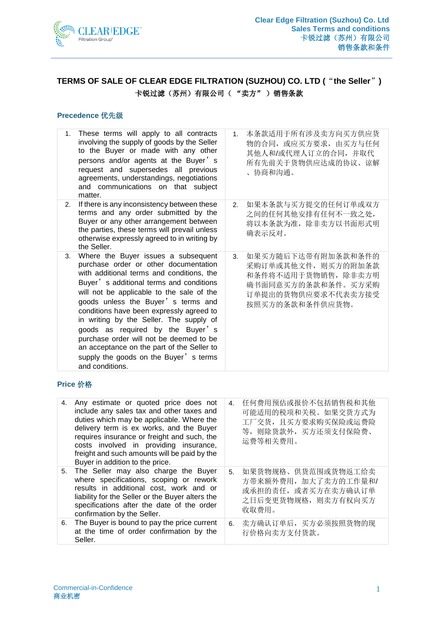

# **TERMS OF SALE OF CLEAR EDGE FILTRATION (SUZHOU) CO. LTD (**"**the Seller**"**)** 卡锐过滤(苏州)有限公司( "卖方" )销售条款

#### **Precedence** 优先级

| $1_{-}$ | These terms will apply to all contracts<br>involving the supply of goods by the Seller<br>to the Buyer or made with any other<br>persons and/or agents at the Buyer's<br>request and supersedes all previous<br>agreements, understandings, negotiations<br>and communications on that subject<br>matter.                                                                                                                                                                                                                               | 1.             | 本条款适用于所有涉及卖方向买方供应货<br>物的合同, 或应买方要求, 由买方与任何<br>其他人和/或代理人订立的合同, 并取代<br>所有先前关于货物供应达成的协议、谅解<br>协商和沟通。<br>$\mathbf{r}$               |
|---------|-----------------------------------------------------------------------------------------------------------------------------------------------------------------------------------------------------------------------------------------------------------------------------------------------------------------------------------------------------------------------------------------------------------------------------------------------------------------------------------------------------------------------------------------|----------------|---------------------------------------------------------------------------------------------------------------------------------|
| 2.      | If there is any inconsistency between these<br>terms and any order submitted by the<br>Buyer or any other arrangement between<br>the parties, these terms will prevail unless<br>otherwise expressly agreed to in writing by<br>the Seller.                                                                                                                                                                                                                                                                                             | 2 <sub>1</sub> | 如果本条款与买方提交的任何订单或双方<br>之间的任何其他安排有任何不一致之处,<br>将以本条款为准, 除非卖方以书面形式明<br>确表示反对。                                                       |
| 3.      | Where the Buyer issues a subsequent<br>purchase order or other documentation<br>with additional terms and conditions, the<br>Buyer's additional terms and conditions<br>will not be applicable to the sale of the<br>goods unless the Buyer's terms and<br>conditions have been expressly agreed to<br>in writing by the Seller. The supply of<br>goods as required by the Buyer's<br>purchase order will not be deemed to be<br>an acceptance on the part of the Seller to<br>supply the goods on the Buyer's terms<br>and conditions. | 3.             | 如果买方随后下达带有附加条款和条件的<br>采购订单或其他文件, 则买方的附加条款<br>和条件将不适用于货物销售, 除非卖方明<br>确书面同意买方的条款和条件。买方采购<br>订单提出的货物供应要求不代表卖方接受<br>按照买方的条款和条件供应货物。 |

#### **Price** 价格

| 4. | Any estimate or quoted price does not<br>include any sales tax and other taxes and<br>duties which may be applicable. Where the<br>delivery term is ex works, and the Buyer<br>requires insurance or freight and such, the<br>costs involved in providing insurance,<br>freight and such amounts will be paid by the<br>Buyer in addition to the price. | 4. | 任何费用预估或报价不包括销售税和其他<br>可能适用的税项和关税。如果交货方式为<br>工厂交货, 且买方要求购买保险或运费险<br>等, 则除货款外, 买方还须支付保险费、<br>运费等相关费用。 |
|----|---------------------------------------------------------------------------------------------------------------------------------------------------------------------------------------------------------------------------------------------------------------------------------------------------------------------------------------------------------|----|-----------------------------------------------------------------------------------------------------|
|    | 5. The Seller may also charge the Buyer<br>where specifications, scoping or rework<br>results in additional cost, work and or<br>liability for the Seller or the Buyer alters the<br>specifications after the date of the order<br>confirmation by the Seller.                                                                                          | 5. | 如果货物规格、供货范围或货物返工给卖<br>方带来额外费用, 加大了卖方的工作量和/<br>或承担的责任, 或者买方在卖方确认订单<br>之日后变更货物规格, 则卖方有权向买方<br>收取费用。   |
| 6. | The Buyer is bound to pay the price current<br>at the time of order confirmation by the<br>Seller.                                                                                                                                                                                                                                                      | 6. | 卖方确认订单后,买方必须按照货物的现<br>行价格向卖方支付货款。                                                                   |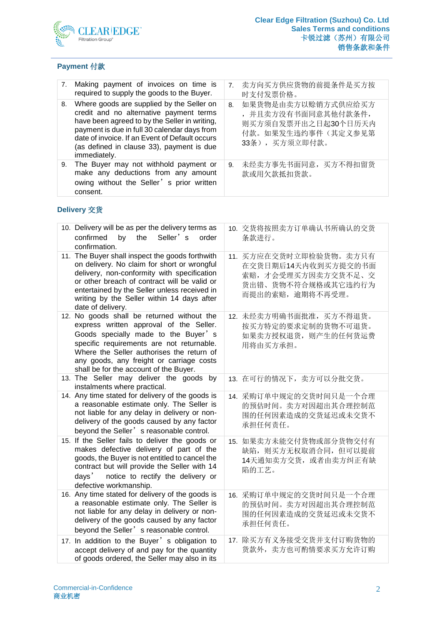

# **Payment** 付款

|    | 7. Making payment of invoices on time is<br>required to supply the goods to the Buyer.                                                                                                                                                                                                               | 7 <sub>1</sub> | 卖方向买方供应货物的前提条件是买方按<br>时支付发票价格。                                                                           |
|----|------------------------------------------------------------------------------------------------------------------------------------------------------------------------------------------------------------------------------------------------------------------------------------------------------|----------------|----------------------------------------------------------------------------------------------------------|
| 8. | Where goods are supplied by the Seller on<br>credit and no alternative payment terms<br>have been agreed to by the Seller in writing,<br>payment is due in full 30 calendar days from<br>date of invoice. If an Event of Default occurs<br>(as defined in clause 33), payment is due<br>immediately. | 8.             | 如果货物是由卖方以赊销方式供应给买方<br>, 并且卖方没有书面同意其他付款条件,<br>则买方须自发票开出之日起30个日历天内<br>付款。如果发生违约事件(其定义参见第<br>33条), 买方须立即付款。 |
|    | 9. The Buyer may not withhold payment or<br>make any deductions from any amount<br>owing without the Seller's prior written<br>consent.                                                                                                                                                              | 9.             | 未经卖方事先书面同意, 买方不得扣留货<br>款或用欠款抵扣货款。                                                                        |

# **Delivery** 交货

| 10. Delivery will be as per the delivery terms as<br>confirmed<br>by<br>the<br>Seller's<br>order<br>confirmation.                                                                                                                                                                                                | 10. 交货将按照卖方订单确认书所确认的交货<br>条款进行。                                                                               |
|------------------------------------------------------------------------------------------------------------------------------------------------------------------------------------------------------------------------------------------------------------------------------------------------------------------|---------------------------------------------------------------------------------------------------------------|
| 11. The Buyer shall inspect the goods forthwith<br>on delivery. No claim for short or wrongful<br>delivery, non-conformity with specification<br>or other breach of contract will be valid or<br>entertained by the Seller unless received in<br>writing by the Seller within 14 days after<br>date of delivery. | 11. 买方应在交货时立即检验货物。卖方只有<br>在交货日期后14天内收到买方提交的书面<br>索赔,才会受理买方因卖方交货不足、交<br>货出错、货物不符合规格或其它违约行为<br>而提出的索赔, 逾期将不再受理。 |
| 12. No goods shall be returned without the<br>express written approval of the Seller.<br>Goods specially made to the Buyer's<br>specific requirements are not returnable.<br>Where the Seller authorises the return of<br>any goods, any freight or carriage costs<br>shall be for the account of the Buyer.     | 12. 未经卖方明确书面批准, 买方不得退货。<br>按买方特定的要求定制的货物不可退货。<br>如果卖方授权退货, 则产生的任何货运费<br>用将由买方承担。                              |
| 13. The Seller may deliver the goods by<br>instalments where practical.                                                                                                                                                                                                                                          | 13. 在可行的情况下, 卖方可以分批交货。                                                                                        |
| 14. Any time stated for delivery of the goods is<br>a reasonable estimate only. The Seller is<br>not liable for any delay in delivery or non-<br>delivery of the goods caused by any factor<br>beyond the Seller' s reasonable control.                                                                          | 14. 采购订单中规定的交货时间只是一个合理<br>的预估时间。卖方对因超出其合理控制范<br>围的任何因素造成的交货延迟或未交货不<br>承担任何责任。                                 |
| 15. If the Seller fails to deliver the goods or<br>makes defective delivery of part of the<br>goods, the Buyer is not entitled to cancel the<br>contract but will provide the Seller with 14<br>days' notice to rectify the delivery or<br>defective workmanship.                                                | 15. 如果卖方未能交付货物或部分货物交付有<br>缺陷, 则买方无权取消合同, 但可以提前<br>14天通知卖方交货, 或者由卖方纠正有缺<br>陷的工艺。                               |
| 16. Any time stated for delivery of the goods is<br>a reasonable estimate only. The Seller is<br>not liable for any delay in delivery or non-<br>delivery of the goods caused by any factor<br>beyond the Seller' s reasonable control.                                                                          | 16. 采购订单中规定的交货时间只是一个合理<br>的预估时间。卖方对因超出其合理控制范<br>围的任何因素造成的交货延迟或未交货不<br>承担任何责任。                                 |
| 17. In addition to the Buyer's obligation to<br>accept delivery of and pay for the quantity<br>of goods ordered, the Seller may also in its                                                                                                                                                                      | 17. 除买方有义务接受交货并支付订购货物的<br>货款外, 卖方也可酌情要求买方允许订购                                                                 |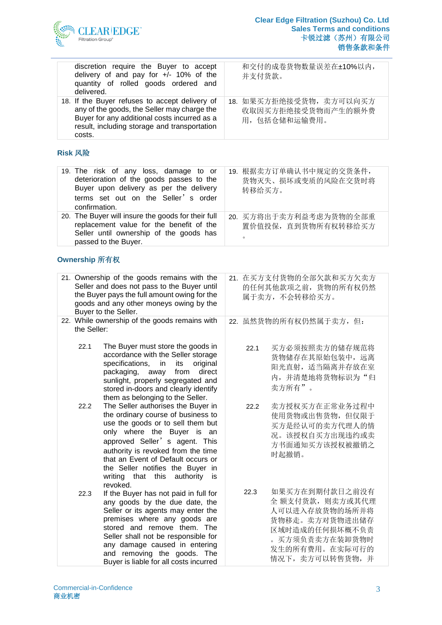

| discretion require the Buyer to accept<br>delivery of and pay for +/- 10% of the<br>quantity of rolled goods ordered and<br>delivered.                                                                  | 和交付的成卷货物数量误差在±10%以内,<br>并支付货款。                                |
|---------------------------------------------------------------------------------------------------------------------------------------------------------------------------------------------------------|---------------------------------------------------------------|
| 18. If the Buyer refuses to accept delivery of<br>any of the goods, the Seller may charge the<br>Buyer for any additional costs incurred as a<br>result, including storage and transportation<br>costs. | 18. 如果买方拒绝接受货物, 卖方可以向买方<br>收取因买方拒绝接受货物而产生的额外费<br>用,包括仓储和运输费用。 |

### **Risk** 风险

| 19. The risk of any loss, damage to or<br>deterioration of the goods passes to the<br>Buyer upon delivery as per the delivery<br>terms set out on the Seller's order<br>confirmation. | 19. 根据卖方订单确认书中规定的交货条件,<br>货物灭失、损坏或变质的风险在交货时将<br>转移给买方。   |
|---------------------------------------------------------------------------------------------------------------------------------------------------------------------------------------|----------------------------------------------------------|
| 20. The Buyer will insure the goods for their full<br>replacement value for the benefit of the<br>Seller until ownership of the goods has<br>passed to the Buyer.                     | 20. 买方将出于卖方利益考虑为货物的全部重<br>置价值投保, 直到货物所有权转移给买方<br>$\circ$ |

#### **Ownership** 所有权

| 21. Ownership of the goods remains with the<br>Seller and does not pass to the Buyer until<br>the Buyer pays the full amount owing for the<br>goods and any other moneys owing by the<br>Buyer to the Seller. |             | 21. 在买方支付货物的全部欠款和买方欠卖方<br>的任何其他款项之前, 货物的所有权仍然<br>属于卖方, 不会转移给买方。                                                                                                                                                                                                                                                                                   |      |                                                                                                                                                  |
|---------------------------------------------------------------------------------------------------------------------------------------------------------------------------------------------------------------|-------------|---------------------------------------------------------------------------------------------------------------------------------------------------------------------------------------------------------------------------------------------------------------------------------------------------------------------------------------------------|------|--------------------------------------------------------------------------------------------------------------------------------------------------|
|                                                                                                                                                                                                               | the Seller: | 22. While ownership of the goods remains with                                                                                                                                                                                                                                                                                                     |      | 22. 虽然货物的所有权仍然属于卖方, 但:                                                                                                                           |
|                                                                                                                                                                                                               | 22.1        | The Buyer must store the goods in<br>accordance with the Seller storage<br>specifications,<br>original<br>in<br>its<br>packaging, away<br>from<br>direct<br>sunlight, properly segregated and<br>stored in-doors and clearly identify<br>them as belonging to the Seller.                                                                         | 22.1 | 买方必须按照卖方的储存规范将<br>货物储存在其原始包装中, 远离<br>阳光直射, 适当隔离并存放在室<br>内,并清楚地将货物标识为"归<br>卖方所有"。                                                                 |
|                                                                                                                                                                                                               | 22.2        | The Seller authorises the Buyer in<br>the ordinary course of business to<br>use the goods or to sell them but<br>only where the Buyer is an<br>approved Seller' s agent. This<br>authority is revoked from the time<br>that an Event of Default occurs or<br>the Seller notifies the Buyer in<br>writing that this<br>authority<br>is<br>revoked. | 22.2 | 卖方授权买方在正常业务过程中<br>使用货物或出售货物, 但仅限于<br>买方是经认可的卖方代理人的情<br>况。该授权自买方出现违约或卖<br>方书面通知买方该授权被撤销之<br>时起撤销。                                                 |
|                                                                                                                                                                                                               | 22.3        | If the Buyer has not paid in full for<br>any goods by the due date, the<br>Seller or its agents may enter the<br>premises where any goods are<br>stored and remove them. The<br>Seller shall not be responsible for<br>any damage caused in entering<br>and removing the goods. The<br>Buyer is liable for all costs incurred                     | 22.3 | 如果买方在到期付款日之前没有<br>全 额支付货款, 则卖方或其代理<br>人可以进入存放货物的场所并将<br>货物移走。卖方对货物进出储存<br>区域时造成的任何损坏概不负责<br>。买方须负责卖方在装卸货物时<br>发生的所有费用。在实际可行的<br>情况下, 卖方可以转售货物, 并 |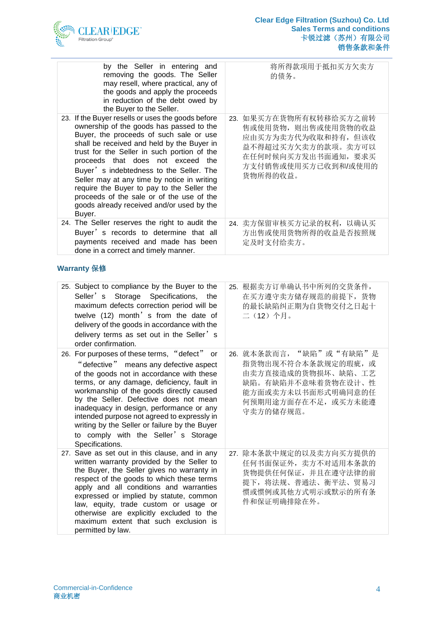

| by the Seller in entering and<br>removing the goods. The Seller<br>may resell, where practical, any of<br>the goods and apply the proceeds<br>in reduction of the debt owed by<br>the Buyer to the Seller.                                                                                                                                                                                                                                                                                                             | 将所得款项用于抵扣买方欠卖方<br>的债务。                                                                                                                               |
|------------------------------------------------------------------------------------------------------------------------------------------------------------------------------------------------------------------------------------------------------------------------------------------------------------------------------------------------------------------------------------------------------------------------------------------------------------------------------------------------------------------------|------------------------------------------------------------------------------------------------------------------------------------------------------|
| 23. If the Buyer resells or uses the goods before<br>ownership of the goods has passed to the<br>Buyer, the proceeds of such sale or use<br>shall be received and held by the Buyer in<br>trust for the Seller in such portion of the<br>proceeds that does not exceed the<br>Buyer's indebtedness to the Seller. The<br>Seller may at any time by notice in writing<br>require the Buyer to pay to the Seller the<br>proceeds of the sale or of the use of the<br>goods already received and/or used by the<br>Buyer. | 23. 如果买方在货物所有权转移给买方之前转<br>售或使用货物, 则出售或使用货物的收益<br>应由买方为卖方代为收取和持有, 但该收<br>益不得超过买方欠卖方的款项。卖方可以<br>在任何时候向买方发出书面通知, 要求买<br>方支付销售或使用买方已收到和/或使用的<br>货物所得的收益。 |
| 24. The Seller reserves the right to audit the<br>Buyer's records to determine that all<br>payments received and made has been<br>done in a correct and timely manner.                                                                                                                                                                                                                                                                                                                                                 | 24. 卖方保留审核买方记录的权利, 以确认买<br>方出售或使用货物所得的收益是否按照规<br>定及时支付给卖方。                                                                                           |

# **Warranty** 保修

| 25. Subject to compliance by the Buyer to the<br>Seller's Storage Specifications,<br>the<br>maximum defects correction period will be<br>twelve (12) month' s from the date of<br>delivery of the goods in accordance with the<br>delivery terms as set out in the Seller's<br>order confirmation.                                                                                                                                                                            | 25. 根据卖方订单确认书中所列的交货条件,<br>在买方遵守卖方储存规范的前提下, 货物<br>的最长缺陷纠正期为自货物交付之日起十<br>二(12)个月。                                                                     |
|-------------------------------------------------------------------------------------------------------------------------------------------------------------------------------------------------------------------------------------------------------------------------------------------------------------------------------------------------------------------------------------------------------------------------------------------------------------------------------|-----------------------------------------------------------------------------------------------------------------------------------------------------|
| 26. For purposes of these terms, "defect" or<br>"defective" means any defective aspect<br>of the goods not in accordance with these<br>terms, or any damage, deficiency, fault in<br>workmanship of the goods directly caused<br>by the Seller. Defective does not mean<br>inadequacy in design, performance or any<br>intended purpose not agreed to expressly in<br>writing by the Seller or failure by the Buyer<br>to comply with the Seller's Storage<br>Specifications. | 26. 就本条款而言,"缺陷"或"有缺陷"是<br>指货物出现不符合本条款规定的瑕疵, 或<br>由卖方直接造成的货物损坏、缺陷、工艺<br>缺陷。有缺陷并不意味着货物在设计、性<br>能方面或卖方未以书面形式明确同意的任<br>何预期用途方面存在不足, 或买方未能遵<br>守卖方的储存规范。 |
| 27. Save as set out in this clause, and in any<br>written warranty provided by the Seller to<br>the Buyer, the Seller gives no warranty in<br>respect of the goods to which these terms<br>apply and all conditions and warranties<br>expressed or implied by statute, common<br>law, equity, trade custom or usage or<br>otherwise are explicitly excluded to the<br>maximum extent that such exclusion is<br>permitted by law.                                              | 27. 除本条款中规定的以及卖方向买方提供的<br>任何书面保证外, 卖方不对适用本条款的<br>货物提供任何保证,并且在遵守法律的前<br>提下, 将法规、普通法、衡平法、贸易习<br>惯或惯例或其他方式明示或默示的所有条<br>件和保证明确排除在外。                     |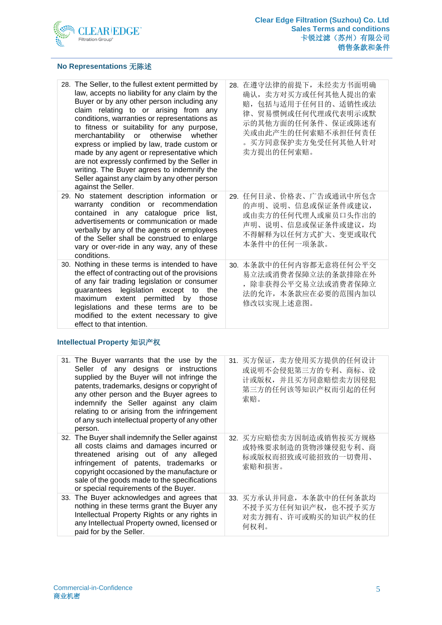

#### **No Representations** 无陈述

| 28. The Seller, to the fullest extent permitted by<br>law, accepts no liability for any claim by the<br>Buyer or by any other person including any<br>claim relating to or arising from any<br>conditions, warranties or representations as<br>to fitness or suitability for any purpose,<br>merchantability or otherwise whether<br>express or implied by law, trade custom or<br>made by any agent or representative which<br>are not expressly confirmed by the Seller in<br>writing. The Buyer agrees to indemnify the<br>Seller against any claim by any other person<br>against the Seller. | 28. 在遵守法律的前提下, 未经卖方书面明确<br>确认, 卖方对买方或任何其他人提出的索<br>赔,包括与适用于任何目的、适销性或法<br>律、贸易惯例或任何代理或代表明示或默<br>示的其他方面的任何条件、保证或陈述有<br>关或由此产生的任何索赔不承担任何责任<br>。买方同意保护卖方免受任何其他人针对<br>卖方提出的任何索赔。 |
|---------------------------------------------------------------------------------------------------------------------------------------------------------------------------------------------------------------------------------------------------------------------------------------------------------------------------------------------------------------------------------------------------------------------------------------------------------------------------------------------------------------------------------------------------------------------------------------------------|----------------------------------------------------------------------------------------------------------------------------------------------------------------------------|
| 29. No statement description information or<br>warranty condition or recommendation<br>contained in any catalogue price list,<br>advertisements or communication or made<br>verbally by any of the agents or employees<br>of the Seller shall be construed to enlarge<br>vary or over-ride in any way, any of these<br>conditions.                                                                                                                                                                                                                                                                | 29. 任何目录、价格表、广告或通讯中所包含<br>的声明、说明、信息或保证条件或建议,<br>或由卖方的任何代理人或雇员口头作出的<br>声明、说明、信息或保证条件或建议,均<br>不得解释为以任何方式扩大、变更或取代<br>本条件中的任何一项条款。                                             |
| 30. Nothing in these terms is intended to have<br>the effect of contracting out of the provisions<br>of any fair trading legislation or consumer<br>guarantees legislation except to<br>maximum extent permitted<br>by those<br>legislations and these terms are to be<br>modified to the extent necessary to give<br>effect to that intention.                                                                                                                                                                                                                                                   | 30. 本条款中的任何内容都无意将任何公平交<br>易立法或消费者保障立法的条款排除在外<br>,除非获得公平交易立法或消费者保障立<br>the<br>法的允许, 本条款应在必要的范围内加以<br>修改以实现上述意图。                                                             |

#### **Intellectual Property** 知识产权

| 31. The Buyer warrants that the use by the<br>Seller of any designs or instructions<br>supplied by the Buyer will not infringe the<br>patents, trademarks, designs or copyright of<br>any other person and the Buyer agrees to<br>indemnify the Seller against any claim<br>relating to or arising from the infringement<br>of any such intellectual property of any other<br>person. | 买方保证, 卖方使用买方提供的任何设计<br>31.<br>或说明不会侵犯第三方的专利、商标、设<br>计或版权,并且买方同意赔偿卖方因侵犯<br>第三方的任何该等知识产权而引起的任何<br>索赔。 |
|---------------------------------------------------------------------------------------------------------------------------------------------------------------------------------------------------------------------------------------------------------------------------------------------------------------------------------------------------------------------------------------|-----------------------------------------------------------------------------------------------------|
| 32. The Buyer shall indemnify the Seller against<br>all costs claims and damages incurred or<br>threatened arising out of any alleged<br>infringement of patents, trademarks or<br>copyright occasioned by the manufacture or<br>sale of the goods made to the specifications<br>or special requirements of the Buyer.                                                                | 买方应赔偿卖方因制造或销售按买方规格<br>32.<br>或特殊要求制造的货物涉嫌侵犯专利、商<br>标或版权而招致或可能招致的一切费用、<br>索赔和损害。                     |
| 33. The Buyer acknowledges and agrees that<br>nothing in these terms grant the Buyer any<br>Intellectual Property Rights or any rights in<br>any Intellectual Property owned, licensed or<br>paid for by the Seller.                                                                                                                                                                  | 33. 买方承认并同意,本条款中的任何条款均<br>不授予买方任何知识产权, 也不授予买方<br>对卖方拥有、许可或购买的知识产权的任<br>何权利。                         |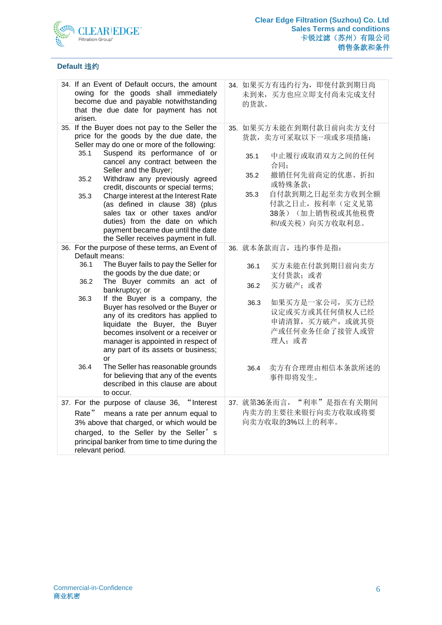

### **Default** 违约

| 34. If an Event of Default occurs, the amount<br>owing for the goods shall immediately<br>become due and payable notwithstanding<br>that the due date for payment has not<br>arisen. |                                                                                                                                                                                                                                                                                                                                                                                                                                                                                                                                                                                      | 34. 如果买方有违约行为, 即使付款到期日尚<br>未到来, 买方也应立即支付尚未完成支付<br>的货款。 |                              |                                                                                                                                                                                 |
|--------------------------------------------------------------------------------------------------------------------------------------------------------------------------------------|--------------------------------------------------------------------------------------------------------------------------------------------------------------------------------------------------------------------------------------------------------------------------------------------------------------------------------------------------------------------------------------------------------------------------------------------------------------------------------------------------------------------------------------------------------------------------------------|--------------------------------------------------------|------------------------------|---------------------------------------------------------------------------------------------------------------------------------------------------------------------------------|
| 35.1<br>35.2<br>35.3                                                                                                                                                                 | 35. If the Buyer does not pay to the Seller the<br>price for the goods by the due date, the<br>Seller may do one or more of the following:<br>Suspend its performance of or<br>cancel any contract between the<br>Seller and the Buyer;<br>Withdraw any previously agreed<br>credit, discounts or special terms;<br>Charge interest at the Interest Rate<br>(as defined in clause 38) (plus<br>sales tax or other taxes and/or<br>duties) from the date on which<br>payment became due until the date<br>the Seller receives payment in full.                                        |                                                        | 35.1<br>35.2<br>35.3         | 35. 如果买方未能在到期付款日前向卖方支付<br>货款,卖方可采取以下一项或多项措施:<br>中止履行或取消双方之间的任何<br>合同;<br>撤销任何先前商定的优惠、折扣<br>或特殊条款;<br>自付款到期之日起至卖方收到全额<br>付款之日止, 按利率(定义见第<br>38条) (加上销售税或其他税费<br>和/或关税)向买方收取利息。   |
| Default means:<br>36.1<br>36.2<br>36.3<br>36.4                                                                                                                                       | 36. For the purpose of these terms, an Event of<br>The Buyer fails to pay the Seller for<br>the goods by the due date; or<br>The Buyer commits an act of<br>bankruptcy; or<br>If the Buyer is a company, the<br>Buyer has resolved or the Buyer or<br>any of its creditors has applied to<br>liquidate the Buyer, the Buyer<br>becomes insolvent or a receiver or<br>manager is appointed in respect of<br>any part of its assets or business;<br>or<br>The Seller has reasonable grounds<br>for believing that any of the events<br>described in this clause are about<br>to occur. |                                                        | 36.1<br>36.2<br>36.3<br>36.4 | 36. 就本条款而言, 违约事件是指:<br>买方未能在付款到期日前向卖方<br>支付货款; 或者<br>买方破产;或者<br>如果买方是一家公司, 买方已经<br>议定或买方或其任何债权人已经<br>申请清算, 买方破产, 或就其资<br>产或任何业务任命了接管人或管<br>理人: 或者<br>卖方有合理理由相信本条款所述的<br>事件即将发生。 |
| Rate"<br>relevant period.                                                                                                                                                            | 37. For the purpose of clause 36, "Interest<br>means a rate per annum equal to<br>3% above that charged, or which would be<br>charged, to the Seller by the Seller's<br>principal banker from time to time during the                                                                                                                                                                                                                                                                                                                                                                |                                                        | 37. 就第36条而言,                 | "利率"是指在有关期间<br>内卖方的主要往来银行向卖方收取或将要<br>向卖方收取的3%以上的利率。                                                                                                                             |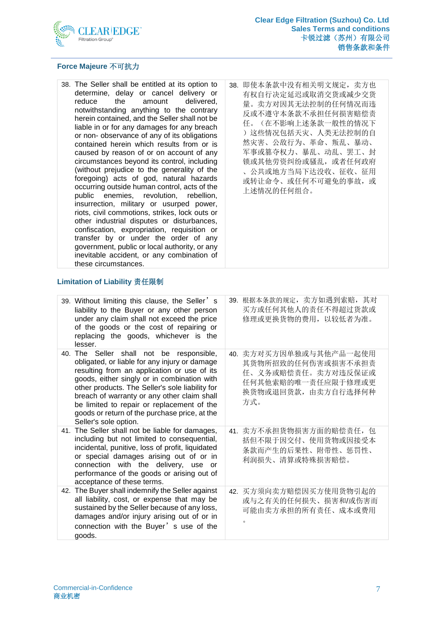

#### **Force Majeure** 不可抗力

- 38. The Seller shall be entitled at its option to determine, delay or cancel delivery or<br>reduce the amount delivered, reduce the amount delivered, notwithstanding anything to the contrary herein contained, and the Seller shall not be liable in or for any damages for any breach or non- observance of any of its obligations contained herein which results from or is caused by reason of or on account of any circumstances beyond its control, including (without prejudice to the generality of the foregoing) acts of god, natural hazards occurring outside human control, acts of the public enemies, revolution, rebellion, insurrection, military or usurped power, riots, civil commotions, strikes, lock outs or other industrial disputes or disturbances, confiscation, expropriation, requisition or transfer by or under the order of any government, public or local authority, or any inevitable accident, or any combination of these circumstances.
- 38. 即使本条款中没有相关明文规定,卖方也 有权自行决定延迟或取消交货或减少交货 量。卖方对因其无法控制的任何情况而违 反或不遵守本条款不承担任何损害赔偿责 任。(在不影响上述条款一般性的情况下 )这些情况包括天灾、人类无法控制的自 然灾害、公敌行为、革命、叛乱、暴动、 军事或篡夺权力、暴乱、动乱、罢工、封 锁或其他劳资纠纷或骚乱,或者任何政府 、公共或地方当局下达没收、征收、征用 或转让命令、或任何不可避免的事故,或 上述情况的任何组合。

#### **Limitation of Liability** 责任限制

| 39. Without limiting this clause, the Seller's<br>liability to the Buyer or any other person<br>under any claim shall not exceed the price<br>of the goods or the cost of repairing or<br>replacing the goods, whichever is the<br>lesser.                                                                                                                                                                        | 39. 根据本条款的规定, 卖方如遇到索赔, 其对<br>买方或任何其他人的责任不得超过货款或<br>修理或更换货物的费用, 以较低者为准。                                                 |
|-------------------------------------------------------------------------------------------------------------------------------------------------------------------------------------------------------------------------------------------------------------------------------------------------------------------------------------------------------------------------------------------------------------------|------------------------------------------------------------------------------------------------------------------------|
| 40. The Seller shall not be responsible,<br>obligated, or liable for any injury or damage<br>resulting from an application or use of its<br>goods, either singly or in combination with<br>other products. The Seller's sole liability for<br>breach of warranty or any other claim shall<br>be limited to repair or replacement of the<br>goods or return of the purchase price, at the<br>Seller's sole option. | 40. 卖方对买方因单独或与其他产品一起使用<br>其货物所招致的任何伤害或损害不承担责<br>任、义务或赔偿责任。卖方对违反保证或<br>任何其他索赔的唯一责任应限于修理或更<br>换货物或退回货款, 由卖方自行选择何种<br>方式。 |
| 41. The Seller shall not be liable for damages,<br>including but not limited to consequential,<br>incidental, punitive, loss of profit, liquidated<br>or special damages arising out of or in<br>connection with the delivery, use or<br>performance of the goods or arising out of<br>acceptance of these terms.                                                                                                 | 41. 卖方不承担货物损害方面的赔偿责任, 包<br>括但不限于因交付、使用货物或因接受本<br>条款而产生的后果性、附带性、惩罚性、<br>利润损失、清算或特殊损害赔偿。                                 |
| 42. The Buyer shall indemnify the Seller against<br>all liability, cost, or expense that may be<br>sustained by the Seller because of any loss,<br>damages and/or injury arising out of or in<br>connection with the Buyer's use of the<br>goods.                                                                                                                                                                 | 42. 买方须向卖方赔偿因买方使用货物引起的<br>或与之有关的任何损失、损害和/或伤害而<br>可能由卖方承担的所有责任、成本或费用<br>$\circ$                                         |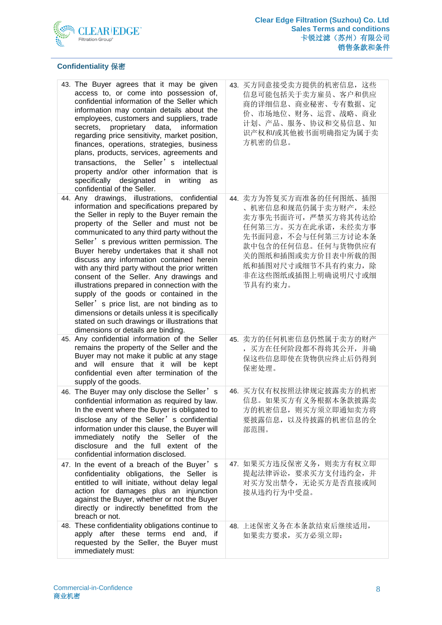

# **Confidentiality** 保密

| 43. The Buyer agrees that it may be given<br>access to, or come into possession of,<br>confidential information of the Seller which<br>information may contain details about the<br>employees, customers and suppliers, trade<br>secrets, proprietary data, information<br>regarding price sensitivity, market position,<br>finances, operations, strategies, business<br>plans, products, services, agreements and<br>transactions, the Seller's intellectual<br>property and/or other information that is<br>specifically designated<br>confidential of the Seller.                                                                                                                                                                                       | in<br>writing<br>as | 43. 买方同意接受卖方提供的机密信息, 这些<br>信息可能包括关于卖方雇员、客户和供应<br>商的详细信息、商业秘密、专有数据、定<br>价、市场地位、财务、运营、战略、商业<br>计划、产品、服务、协议和交易信息、知<br>识产权和/或其他被书面明确指定为属于卖<br>方机密的信息。                                                                    |
|-------------------------------------------------------------------------------------------------------------------------------------------------------------------------------------------------------------------------------------------------------------------------------------------------------------------------------------------------------------------------------------------------------------------------------------------------------------------------------------------------------------------------------------------------------------------------------------------------------------------------------------------------------------------------------------------------------------------------------------------------------------|---------------------|----------------------------------------------------------------------------------------------------------------------------------------------------------------------------------------------------------------------|
| 44. Any drawings, illustrations, confidential<br>information and specifications prepared by<br>the Seller in reply to the Buyer remain the<br>property of the Seller and must not be<br>communicated to any third party without the<br>Seller' s previous written permission. The<br>Buyer hereby undertakes that it shall not<br>discuss any information contained herein<br>with any third party without the prior written<br>consent of the Seller. Any drawings and<br>illustrations prepared in connection with the<br>supply of the goods or contained in the<br>Seller's price list, are not binding as to<br>dimensions or details unless it is specifically<br>stated on such drawings or illustrations that<br>dimensions or details are binding. |                     | 44. 卖方为答复买方而准备的任何图纸、插图<br>、机密信息和规范仍属于卖方财产, 未经<br>卖方事先书面许可,严禁买方将其传达给<br>任何第三方。买方在此承诺,未经卖方事<br>先书面同意, 不会与任何第三方讨论本条<br>款中包含的任何信息。任何与货物供应有<br>关的图纸和插图或卖方价目表中所载的图<br>纸和插图对尺寸或细节不具有约束力, 除<br>非在这些图纸或插图上明确说明尺寸或细<br>节具有约束力。 |
| 45. Any confidential information of the Seller<br>remains the property of the Seller and the<br>Buyer may not make it public at any stage<br>and will ensure that it will be kept<br>confidential even after termination of the<br>supply of the goods.                                                                                                                                                                                                                                                                                                                                                                                                                                                                                                     |                     | 45. 卖方的任何机密信息仍然属于卖方的财产<br>, 买方在任何阶段都不得将其公开, 并确<br>保这些信息即使在货物供应终止后仍得到<br>保密处理。                                                                                                                                        |
| 46. The Buyer may only disclose the Seller's<br>confidential information as required by law.<br>In the event where the Buyer is obligated to<br>disclose any of the Seller's confidential<br>information under this clause, the Buyer will<br>immediately notify the Seller of<br>disclosure and the full extent of the<br>confidential information disclosed.                                                                                                                                                                                                                                                                                                                                                                                              | the                 | 46. 买方仅有权按照法律规定披露卖方的机密<br>信息。如果买方有义务根据本条款披露卖<br>方的机密信息, 则买方须立即通知卖方将<br>要披露信息, 以及待披露的机密信息的全<br>部范围。                                                                                                                   |
| 47. In the event of a breach of the Buyer's<br>confidentiality obligations, the Seller is<br>entitled to will initiate, without delay legal<br>action for damages plus an injunction<br>against the Buyer, whether or not the Buyer<br>directly or indirectly benefitted from the<br>breach or not.                                                                                                                                                                                                                                                                                                                                                                                                                                                         |                     | 47. 如果买方违反保密义务, 则卖方有权立即<br>提起法律诉讼, 要求买方支付违约金, 并<br>对买方发出禁令, 无论买方是否直接或间<br>接从违约行为中受益。                                                                                                                                 |
| 48. These confidentiality obligations continue to<br>apply after these terms end and, if<br>requested by the Seller, the Buyer must<br>immediately must:                                                                                                                                                                                                                                                                                                                                                                                                                                                                                                                                                                                                    |                     | 48. 上述保密义务在本条款结束后继续适用,<br>如果卖方要求,买方必须立即:                                                                                                                                                                             |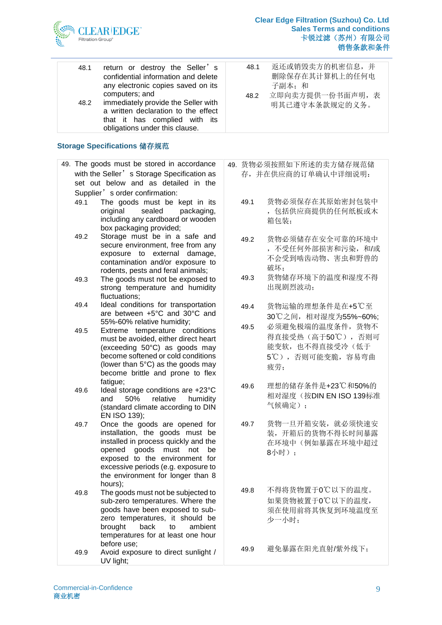

| 48.1<br>return or destroy the Seller's<br>48.1<br>confidential information and delete<br>any electronic copies saved on its<br>子副本: 和<br>computers; and<br>立即向卖方提供一份书面声明,表<br>48.2 |                                     |                                   |
|------------------------------------------------------------------------------------------------------------------------------------------------------------------------------------|-------------------------------------|-----------------------------------|
|                                                                                                                                                                                    |                                     | 返还或销毁卖方的机密信息, 并<br>删除保存在其计算机上的任何电 |
| 48.2<br>明其已遵守本条款规定的义务。<br>a written declaration to the effect<br>that it has complied with its<br>obligations under this clause.                                                   | immediately provide the Seller with |                                   |

#### **Storage Specifications** 储存规范

|      | 49. The goods must be stored in accordance   | 49. 货物: |
|------|----------------------------------------------|---------|
|      | with the Seller' s Storage Specification as  | 存,      |
|      | set out below and as detailed in the         |         |
|      | Supplier' s order confirmation:              |         |
| 49.1 | The goods must be kept in its                | 49.1    |
|      | original<br>sealed<br>packaging,             |         |
|      | including any cardboard or wooden            |         |
|      | box packaging provided;                      |         |
| 49.2 | Storage must be in a safe and                | 49.2    |
|      | secure environment, free from any            |         |
|      | exposure to external damage,                 |         |
|      | contamination and/or exposure to             |         |
|      | rodents, pests and feral animals;            |         |
| 49.3 | The goods must not be exposed to             | 49.3    |
|      | strong temperature and humidity              |         |
|      | fluctuations;                                |         |
| 49.4 | Ideal conditions for transportation          | 49.4    |
|      | are between +5°C and 30°C and                |         |
|      | 55%-60% relative humidity;                   | 49.5    |
| 49.5 | Extreme temperature conditions               |         |
|      | must be avoided, either direct heart         |         |
|      | (exceeding 50°C) as goods may                |         |
|      | become softened or cold conditions           |         |
|      | (lower than 5°C) as the goods may            |         |
|      | become brittle and prone to flex<br>fatigue; |         |
| 49.6 | Ideal storage conditions are +23°C           | 49.6    |
|      | 50%<br>relative humidity<br>and              |         |
|      | (standard climate according to DIN           |         |
|      | EN ISO 139);                                 |         |
| 49.7 | Once the goods are opened for                | 49.7    |
|      | installation, the goods must<br>be           |         |
|      | installed in process quickly and the         |         |
|      | opened goods must<br>not<br>be               |         |
|      | exposed to the environment for               |         |
|      | excessive periods (e.g. exposure to          |         |
|      | the environment for longer than 8            |         |
|      | hours);                                      |         |
| 49.8 | The goods must not be subjected to           | 49.8    |
|      | sub-zero temperatures. Where the             |         |
|      | goods have been exposed to sub-              |         |
|      | zero temperatures, it should be              |         |
|      | back<br>brought<br>to<br>ambient             |         |
|      | temperatures for at least one hour           |         |
|      | before use;                                  | 49.9    |
| 49.9 | Avoid exposure to direct sunlight /          |         |
|      | UV light;                                    |         |
|      |                                              |         |

|  | 49. 货物必须按照如下所述的卖方储存规范储 |
|--|------------------------|
|  | 存, 并在供应商的订单确认中详细说明:    |

- 货物必须保存在其原始密封包装中 ,包括供应商提供的任何纸板或木 箱包装;
- 货物必须储存在安全可靠的环境中 ,不受任何外部损害和污染,和/或 不会受到啮齿动物、害虫和野兽的 破坏;
- 货物储存环境下的温度和湿度不得 出现剧烈波动;
- 货物运输的理想条件是在+5℃至 30℃之间,相对湿度为55%~60%;
- 必须避免极端的温度条件,货物不 得直接受热(高于50℃),否则可 能变软,也不得直接受冷(低于 5℃),否则可能变脆,容易弯曲 疲劳;
- 理想的储存条件是+23℃和50%的 相对湿度(按DIN EN ISO 139标准 气候确定);
- 货物一旦开箱安装,就必须快速安 装,开箱后的货物不得长时间暴露 在环境中(例如暴露在环境中超过 8小时);
- 49.8 不得将货物置于0℃以下的温度。 如果货物被置于0℃以下的温度, 须在使用前将其恢复到环境温度至 少一小时;
- 避免暴露在阳光直射/紫外线下;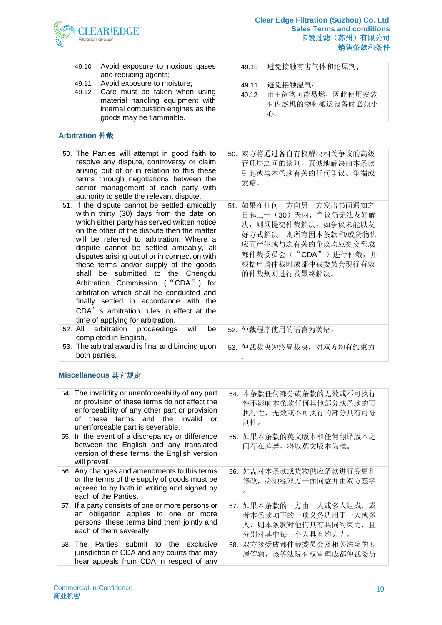

| 49.10 Avoid exposure to noxious gases<br>and reducing agents;                                                                                                                 |                | 49.10 避免接触有害气体和还原剂;                                     |
|-------------------------------------------------------------------------------------------------------------------------------------------------------------------------------|----------------|---------------------------------------------------------|
| 49.11 Avoid exposure to moisture;<br>49.12 Care must be taken when using<br>material handling equipment with<br>internal combustion engines as the<br>goods may be flammable. | 49.11<br>49.12 | 避免接触湿气:<br>由于货物可能易燃, 因此使用安装<br>有内燃机的物料搬运设备时必须小<br>गोर्ड |

# **Arbitration** 仲裁

| 50. The Parties will attempt in good faith to<br>resolve any dispute, controversy or claim<br>arising out of or in relation to this these<br>terms through negotiations between the<br>senior management of each party with<br>authority to settle the relevant dispute.                                                                                                                                                                                                                                                                                                                                                     | 50. 双方将通过各自有权解决相关争议的高级<br>管理层之间的谈判, 真诚地解决由本条款<br>引起或与本条款有关的任何争议、争端或<br>索赔。                                                                                                         |
|------------------------------------------------------------------------------------------------------------------------------------------------------------------------------------------------------------------------------------------------------------------------------------------------------------------------------------------------------------------------------------------------------------------------------------------------------------------------------------------------------------------------------------------------------------------------------------------------------------------------------|------------------------------------------------------------------------------------------------------------------------------------------------------------------------------------|
| 51. If the dispute cannot be settled amicably<br>within thirty (30) days from the date on<br>which either party has served written notice<br>on the other of the dispute then the matter<br>will be referred to arbitration. Where a<br>dispute cannot be settled amicably, all<br>disputes arising out of or in connection with<br>these terms and/or supply of the goods<br>shall be submitted to the Chengdu<br>Arbitration Commission ("CDA") for<br>arbitration which shall be conducted and<br>finally settled in accordance with the<br>CDA's arbitration rules in effect at the<br>time of applying for arbitration. | 51. 如果在任何一方向另一方发出书面通知之<br>日起三十 (30) 天内, 争议仍无法友好解<br>决, 则须提交仲裁解决。如争议未能以友<br>好方式解决,则所有因本条款和/或货物供<br>应而产生或与之有关的争议均应提交至成<br>都仲裁委员会("CDA")进行仲裁,并<br>根据申请仲裁时成都仲裁委员会现行有效<br>的仲裁规则进行及最终解决。 |
| arbitration proceedings<br>52. All<br>will<br>be<br>completed in English.                                                                                                                                                                                                                                                                                                                                                                                                                                                                                                                                                    | 52. 仲裁程序使用的语言为英语。                                                                                                                                                                  |
| 53. The arbitral award is final and binding upon<br>both parties.                                                                                                                                                                                                                                                                                                                                                                                                                                                                                                                                                            | 53. 仲裁裁决为终局裁决, 对双方均有约束力<br>$\circ$                                                                                                                                                 |

### **Miscellaneous** 其它规定

| ∩f      | 54. The invalidity or unenforceability of any part<br>or provision of these terms do not affect the<br>enforceability of any other part or provision<br>these terms and the invalid<br>or<br>unenforceable part is severable. |     | 54. 本条款任何部分或条款的无效或不可执行<br>性不影响本条款任何其他部分或条款的可<br>执行性, 无效或不可执行的部分具有可分<br>割性。              |
|---------|-------------------------------------------------------------------------------------------------------------------------------------------------------------------------------------------------------------------------------|-----|-----------------------------------------------------------------------------------------|
|         | 55. In the event of a discrepancy or difference<br>between the English and any translated<br>version of these terms, the English version<br>will prevail.                                                                     | 55. | 如果本条款的英文版本和任何翻译版本之<br>间存在差异, 将以英文版本为准。                                                  |
|         | 56. Any changes and amendments to this terms<br>or the terms of the supply of goods must be<br>agreed to by both in writing and signed by<br>each of the Parties.                                                             |     | 56. 如需对本条款或货物供应条款进行变更和<br>修改, 必须经双方书面同意并由双方签字                                           |
|         | 57. If a party consists of one or more persons or<br>an obligation applies to one or more<br>persons, these terms bind them jointly and<br>each of them severally.                                                            | 57. | 如果本条款的一方由一人或多人组成,<br>页<br>者本条款项下的一项义务适用于一人或多<br>人, 则本条款对他们具有共同约束力, 且<br>分别对其中每一个人具有约束力。 |
| 58. The | Parties submit to the exclusive<br>jurisdiction of CDA and any courts that may<br>hear appeals from CDA in respect of any                                                                                                     |     | 58. 双方接受成都仲裁委员会及相关法院的专<br>属管辖, 该等法院有权审理成都仲裁委员                                           |